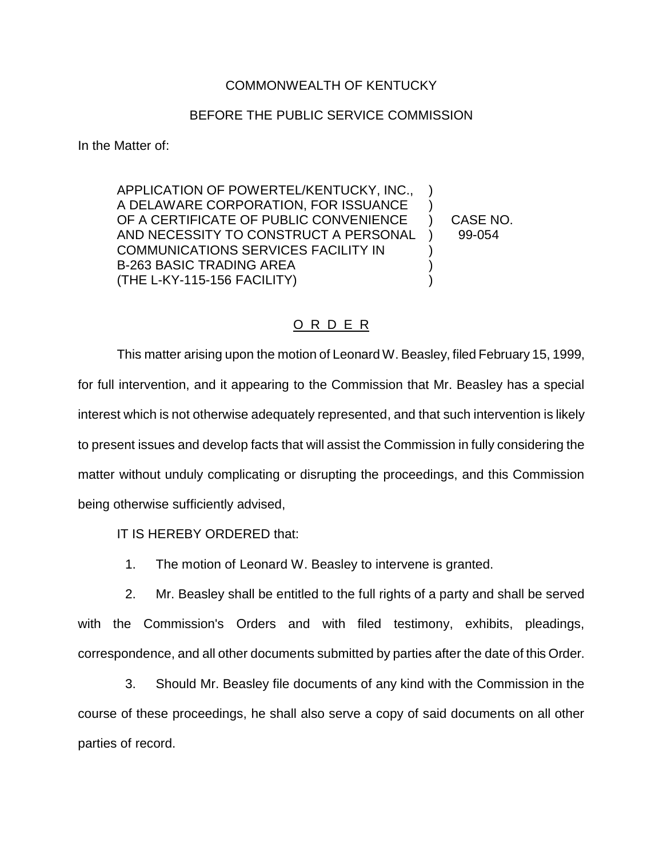## COMMONWEALTH OF KENTUCKY

## BEFORE THE PUBLIC SERVICE COMMISSION

In the Matter of:

APPLICATION OF POWERTEL/KENTUCKY, INC., ) A DELAWARE CORPORATION, FOR ISSUANCE ) OF A CERTIFICATE OF PUBLIC CONVENIENCE ) CASE NO. AND NECESSITY TO CONSTRUCT A PERSONAL ) 99-054 COMMUNICATIONS SERVICES FACILITY IN ) B-263 BASIC TRADING AREA  $\qquad \qquad \tag{3}$ (THE L-KY-115-156 FACILITY) )

## O R D E R

This matter arising upon the motion of Leonard W. Beasley, filed February 15, 1999, for full intervention, and it appearing to the Commission that Mr. Beasley has a special interest which is not otherwise adequately represented, and that such intervention is likely to present issues and develop facts that will assist the Commission in fully considering the matter without unduly complicating or disrupting the proceedings, and this Commission being otherwise sufficiently advised,

IT IS HEREBY ORDERED that:

1. The motion of Leonard W. Beasley to intervene is granted.

2. Mr. Beasley shall be entitled to the full rights of a party and shall be served with the Commission's Orders and with filed testimony, exhibits, pleadings, correspondence, and all other documents submitted by parties after the date of this Order.

3. Should Mr. Beasley file documents of any kind with the Commission in the course of these proceedings, he shall also serve a copy of said documents on all other parties of record.